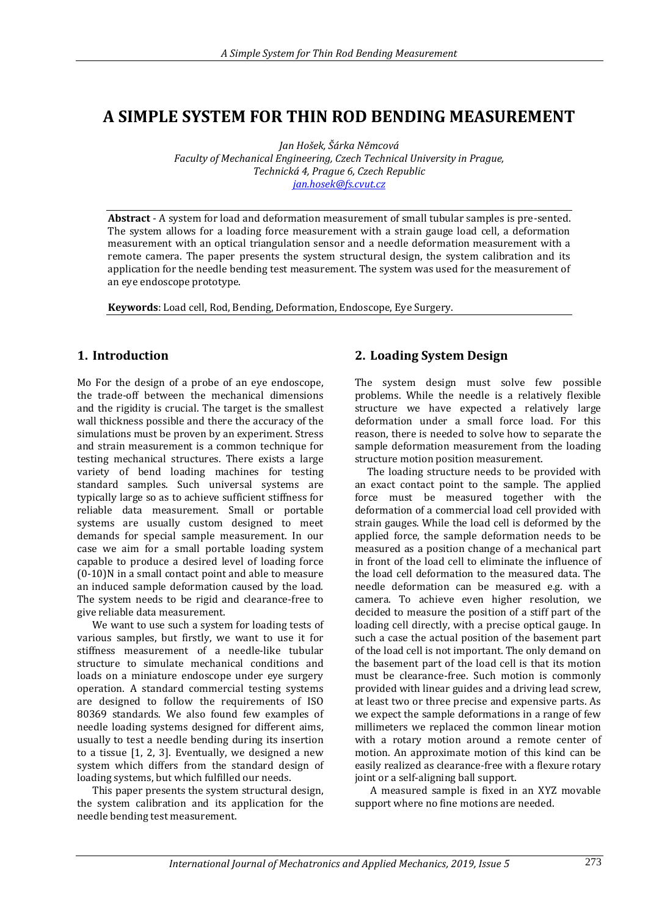# **A SIMPLE SYSTEM FOR THIN ROD BENDING MEASUREMENT**

*Jan Hošek, Šárka Němcová Faculty of Mechanical Engineering, Czech Technical University in Prague, Technická 4, Prague 6, Czech Republic [jan.hosek@fs.cvut.cz](mailto:jan.hosek@fs.cvut.cz)*

**Abstract** - A system for load and deformation measurement of small tubular samples is pre-sented. The system allows for a loading force measurement with a strain gauge load cell, a deformation measurement with an optical triangulation sensor and a needle deformation measurement with a remote camera. The paper presents the system structural design, the system calibration and its application for the needle bending test measurement. The system was used for the measurement of an eye endoscope prototype.

**Keywords**: Load cell, Rod, Bending, Deformation, Endoscope, Eye Surgery.

### **1. Introduction**

Mo For the design of a probe of an eye endoscope, the trade-off between the mechanical dimensions and the rigidity is crucial. The target is the smallest wall thickness possible and there the accuracy of the simulations must be proven by an experiment. Stress and strain measurement is a common technique for testing mechanical structures. There exists a large variety of bend loading machines for testing standard samples. Such universal systems are typically large so as to achieve sufficient stiffness for reliable data measurement. Small or portable systems are usually custom designed to meet demands for special sample measurement. In our case we aim for a small portable loading system capable to produce a desired level of loading force (0-10)N in a small contact point and able to measure an induced sample deformation caused by the load. The system needs to be rigid and clearance-free to give reliable data measurement.

We want to use such a system for loading tests of various samples, but firstly, we want to use it for stiffness measurement of a needle-like tubular structure to simulate mechanical conditions and loads on a miniature endoscope under eye surgery operation. A standard commercial testing systems are designed to follow the requirements of ISO 80369 standards. We also found few examples of needle loading systems designed for different aims, usually to test a needle bending during its insertion to a tissue [1, 2, 3]. Eventually, we designed a new system which differs from the standard design of loading systems, but which fulfilled our needs.

This paper presents the system structural design, the system calibration and its application for the needle bending test measurement.

## **2. Loading System Design**

The system design must solve few possible problems. While the needle is a relatively flexible structure we have expected a relatively large deformation under a small force load. For this reason, there is needed to solve how to separate the sample deformation measurement from the loading structure motion position measurement.

The loading structure needs to be provided with an exact contact point to the sample. The applied force must be measured together with the deformation of a commercial load cell provided with strain gauges. While the load cell is deformed by the applied force, the sample deformation needs to be measured as a position change of a mechanical part in front of the load cell to eliminate the influence of the load cell deformation to the measured data. The needle deformation can be measured e.g. with a camera. To achieve even higher resolution, we decided to measure the position of a stiff part of the loading cell directly, with a precise optical gauge. In such a case the actual position of the basement part of the load cell is not important. The only demand on the basement part of the load cell is that its motion must be clearance-free. Such motion is commonly provided with linear guides and a driving lead screw, at least two or three precise and expensive parts. As we expect the sample deformations in a range of few millimeters we replaced the common linear motion with a rotary motion around a remote center of motion. An approximate motion of this kind can be easily realized as clearance-free with a flexure rotary joint or a self-aligning ball support.

A measured sample is fixed in an XYZ movable support where no fine motions are needed.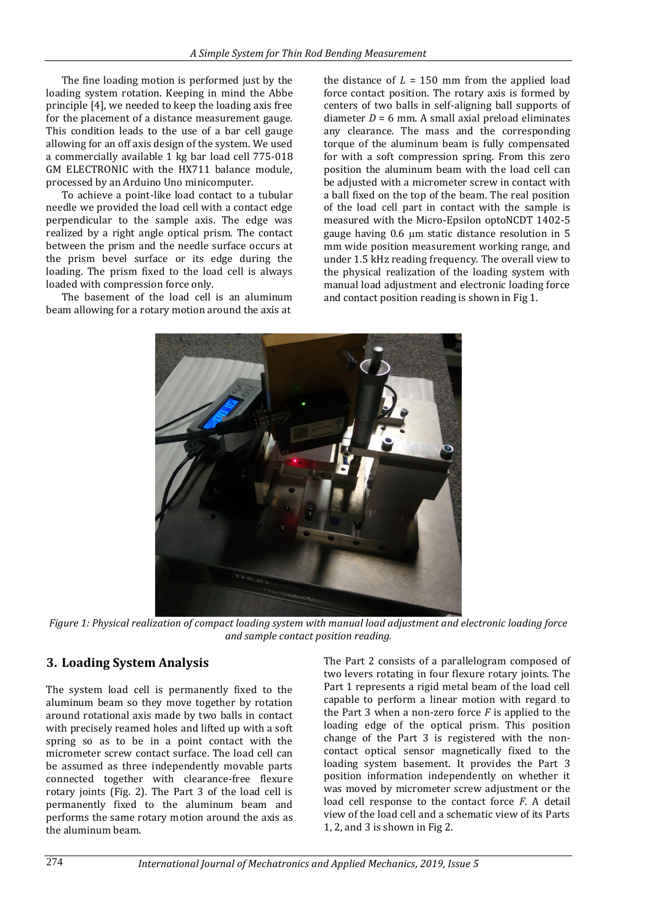The fine loading motion is performed just by the loading system rotation. Keeping in mind the Abbe principle [4], we needed to keep the loading axis free for the placement of a distance measurement gauge. This condition leads to the use of a bar cell gauge allowing for an off axis design of the system. We used a commercially available 1 kg bar load cell 775-018 GM ELECTRONIC with the HX711 balance module, processed by an Arduino Uno minicomputer.

To achieve a point-like load contact to a tubular needle we provided the load cell with a contact edge perpendicular to the sample axis. The edge was realized by a right angle optical prism. The contact between the prism and the needle surface occurs at the prism bevel surface or its edge during the loading. The prism fixed to the load cell is always loaded with compression force only.

The basement of the load cell is an aluminum beam allowing for a rotary motion around the axis at

the distance of  $L = 150$  mm from the applied load force contact position. The rotary axis is formed by centers of two balls in self-aligning ball supports of diameter  $D = 6$  mm. A small axial preload eliminates any clearance. The mass and the corresponding torque of the aluminum beam is fully compensated for with a soft compression spring. From this zero position the aluminum beam with the load cell can be adjusted with a micrometer screw in contact with a ball fixed on the top of the beam. The real position of the load cell part in contact with the sample is measured with the Micro-Epsilon optoNCDT 1402-5 gauge having 0.6 um static distance resolution in 5 mm wide position measurement working range, and under 1.5 kHz reading frequency. The overall view to the physical realization of the loading system with manual load adjustment and electronic loading force and contact position reading is shown in Fig 1.



*Figure 1: Physical realization of compact loading system with manual load adjustment and electronic loading force and sample contact position reading.*

## **3. Loading System Analysis**

The system load cell is permanently fixed to the aluminum beam so they move together by rotation around rotational axis made by two balls in contact with precisely reamed holes and lifted up with a soft spring so as to be in a point contact with the micrometer screw contact surface. The load cell can be assumed as three independently movable parts connected together with clearance-free flexure rotary joints (Fig. 2). The Part 3 of the load cell is permanently fixed to the aluminum beam and performs the same rotary motion around the axis as the aluminum beam.

The Part 2 consists of a parallelogram composed of two levers rotating in four flexure rotary joints. The Part 1 represents a rigid metal beam of the load cell capable to perform a linear motion with regard to the Part 3 when a non-zero force *F* is applied to the loading edge of the optical prism. This position change of the Part 3 is registered with the noncontact optical sensor magnetically fixed to the loading system basement. It provides the Part 3 position information independently on whether it was moved by micrometer screw adjustment or the load cell response to the contact force *F*. A detail view of the load cell and a schematic view of its Parts 1, 2, and 3 is shown in Fig 2.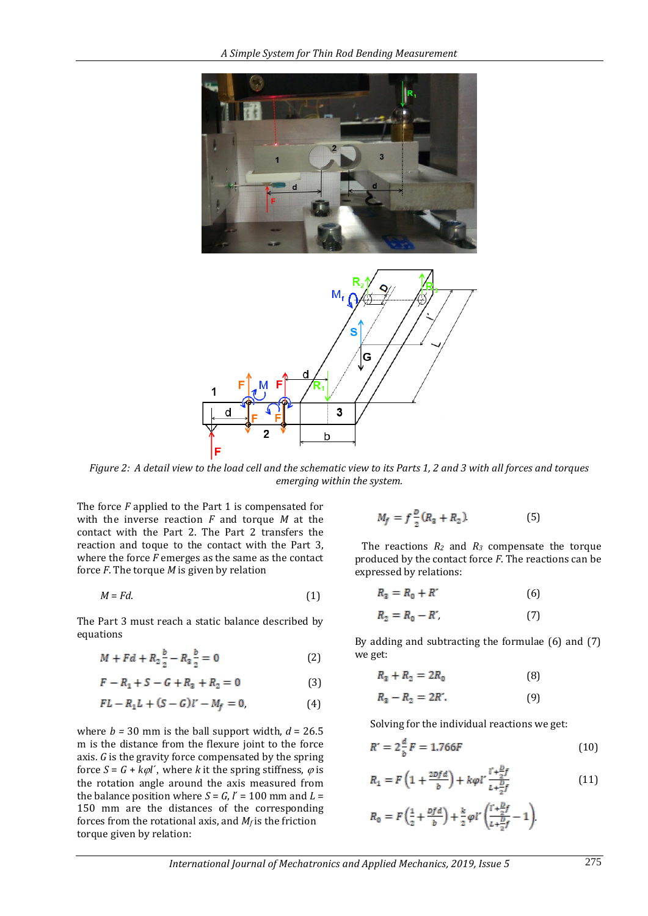



*Figure 2: A detail view to the load cell and the schematic view to its Parts 1, 2 and 3 with all forces and torques emerging within the system.*

The force *F* applied to the Part 1 is compensated for with the inverse reaction *F* and torque *M* at the contact with the Part 2. The Part 2 transfers the reaction and toque to the contact with the Part 3, where the force *F* emerges as the same as the contact force *F*. The torque *M* is given by relation

$$
M = Fd. \tag{1}
$$

The Part 3 must reach a static balance described by equations

$$
M + Fd + R_2 \frac{b}{2} - R_3 \frac{b}{2} = 0
$$
 (2)

$$
F - R_1 + S - G + R_3 + R_2 = 0 \tag{3}
$$

$$
FL - R_1L + (S - G)l' - M_f = 0,
$$
 (4)

where  $b = 30$  mm is the ball support width,  $d = 26.5$ m is the distance from the flexure joint to the force axis. *G* is the gravity force compensated by the spring force  $S = G + k\varphi l'$ , where *k* it the spring stiffness,  $\varphi$  is the rotation angle around the axis measured from the balance position where  $S = G$ ,  $l' = 100$  mm and  $L =$ 150 mm are the distances of the corresponding forces from the rotational axis, and  $M_f$  is the friction torque given by relation:

$$
M_f = f \frac{p}{2} (R_3 + R_2)
$$
 (5)

The reactions  $R_2$  and  $R_3$  compensate the torque produced by the contact force *F*. The reactions can be expressed by relations:

$$
R_3 = R_0 + R'
$$
 (6)

$$
R_2 = R_0 - R', \tag{7}
$$

By adding and subtracting the formulae (6) and (7) we get:

$$
R_3 + R_2 = 2R_0 \tag{8}
$$

$$
R_3 - R_2 = 2R'.
$$
 (9)

Solving for the individual reactions we get:

$$
R' = 2\frac{d}{b}F = 1.766F\tag{10}
$$

$$
R_1 = F\left(1 + \frac{2\nu f d}{b}\right) + k\varphi l' \frac{l' + \frac{D}{2}f}{l + \frac{D}{2}f} \tag{11}
$$

$$
R_0 = F\left(\frac{1}{2} + \frac{Dfd}{b}\right) + \frac{k}{2}\varphi l'\left(\frac{l' + \frac{D}{2}f}{L + \frac{D}{2}f} - 1\right)
$$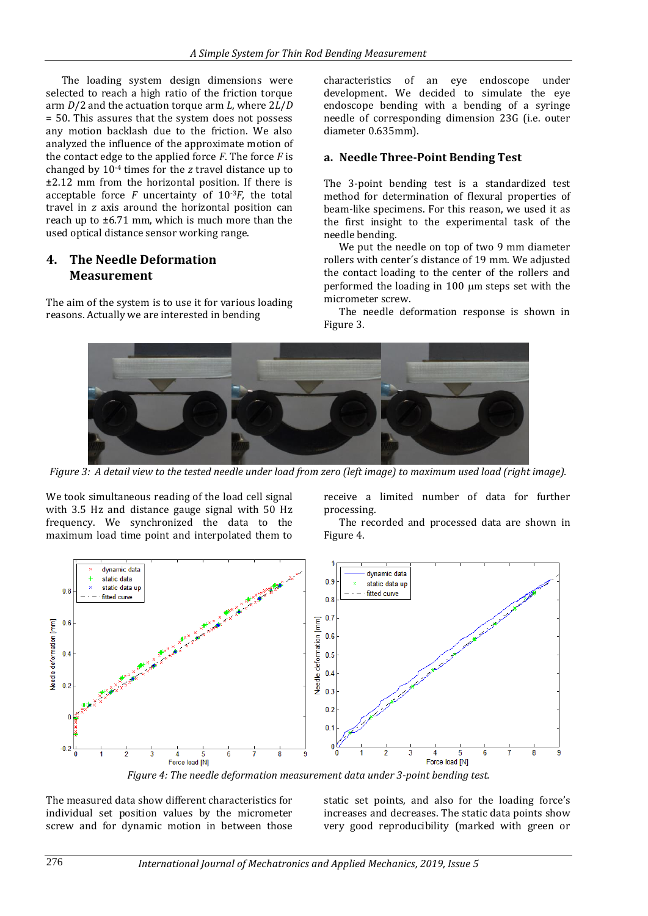The loading system design dimensions were selected to reach a high ratio of the friction torque arm *D*/2 and the actuation torque arm *L*, where 2*L*/*D* = 50. This assures that the system does not possess any motion backlash due to the friction. We also analyzed the influence of the approximate motion of the contact edge to the applied force *F*. The force *F* is changed by 10-4 times for the *z* travel distance up to ±2.12 mm from the horizontal position. If there is acceptable force  $F$  uncertainty of  $10^{-3}F$ , the total travel in *z* axis around the horizontal position can reach up to ±6.71 mm, which is much more than the used optical distance sensor working range.

#### **4. The Needle Deformation Measurement**

The aim of the system is to use it for various loading reasons. Actually we are interested in bending

characteristics of an eye endoscope under development. We decided to simulate the eye endoscope bending with a bending of a syringe needle of corresponding dimension 23G (i.e. outer diameter 0.635mm).

#### **a. Needle Three-Point Bending Test**

The 3-point bending test is a standardized test method for determination of flexural properties of beam-like specimens. For this reason, we used it as the first insight to the experimental task of the needle bending.

We put the needle on top of two 9 mm diameter rollers with center´s distance of 19 mm. We adjusted the contact loading to the center of the rollers and performed the loading in 100 µm steps set with the micrometer screw.

The needle deformation response is shown in Figure 3.



*Figure 3: A detail view to the tested needle under load from zero (left image) to maximum used load (right image).*

We took simultaneous reading of the load cell signal with 3.5 Hz and distance gauge signal with 50 Hz frequency. We synchronized the data to the maximum load time point and interpolated them to receive a limited number of data for further processing.

The recorded and processed data are shown in Figure 4.



*Figure 4: The needle deformation measurement data under 3-point bending test.*

The measured data show different characteristics for individual set position values by the micrometer screw and for dynamic motion in between those static set points, and also for the loading force's increases and decreases. The static data points show very good reproducibility (marked with green or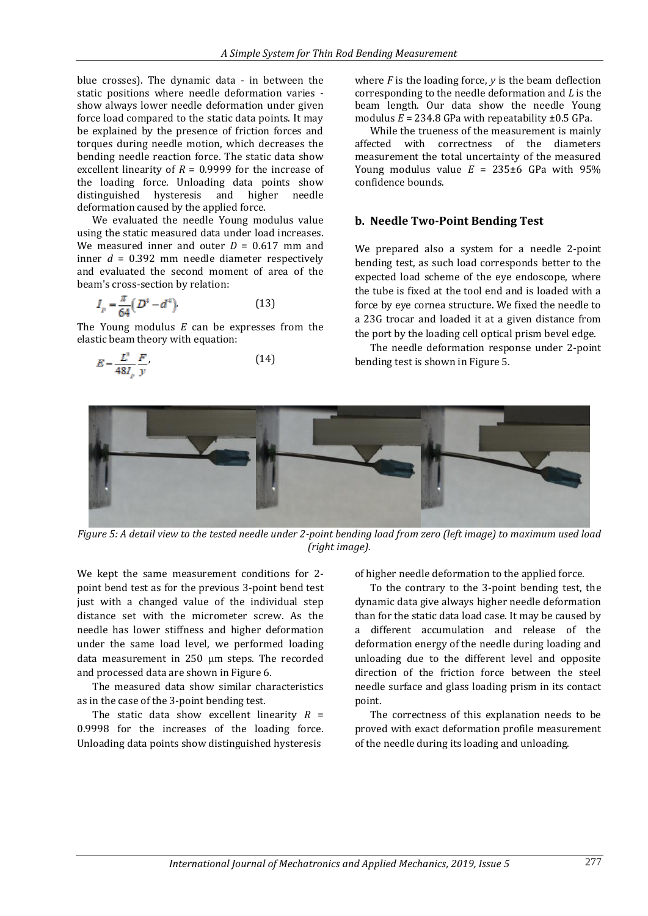blue crosses). The dynamic data - in between the static positions where needle deformation varies show always lower needle deformation under given force load compared to the static data points. It may be explained by the presence of friction forces and torques during needle motion, which decreases the bending needle reaction force. The static data show excellent linearity of *R* = 0.9999 for the increase of the loading force. Unloading data points show distinguished hysteresis and higher needle deformation caused by the applied force.

We evaluated the needle Young modulus value using the static measured data under load increases. We measured inner and outer *D* = 0.617 mm and inner *d* = 0.392 mm needle diameter respectively and evaluated the second moment of area of the beam's cross-section by relation:

$$
I_p = \frac{\pi}{64} \left( D^4 - d^4 \right) \tag{13}
$$

The Young modulus *E* can be expresses from the elastic beam theory with equation:

$$
E = \frac{L^3}{48I_p} \frac{F}{y} \tag{14}
$$

where *F* is the loading force, *y* is the beam deflection corresponding to the needle deformation and *L* is the beam length. Our data show the needle Young modulus  $E = 234.8$  GPa with repeatability  $\pm 0.5$  GPa.

While the trueness of the measurement is mainly affected with correctness of the diameters measurement the total uncertainty of the measured Young modulus value  $E = 235\pm6$  GPa with 95% confidence bounds.

#### **b. Needle Two-Point Bending Test**

We prepared also a system for a needle 2-point bending test, as such load corresponds better to the expected load scheme of the eye endoscope, where the tube is fixed at the tool end and is loaded with a force by eye cornea structure. We fixed the needle to a 23G trocar and loaded it at a given distance from the port by the loading cell optical prism bevel edge.

The needle deformation response under 2-point bending test is shown in Figure 5.



*Figure 5: A detail view to the tested needle under 2-point bending load from zero (left image) to maximum used load (right image).*

We kept the same measurement conditions for 2 point bend test as for the previous 3-point bend test just with a changed value of the individual step distance set with the micrometer screw. As the needle has lower stiffness and higher deformation under the same load level, we performed loading data measurement in  $250 \mu m$  steps. The recorded and processed data are shown in Figure 6.

The measured data show similar characteristics as in the case of the 3-point bending test.

The static data show excellent linearity  $R =$ 0.9998 for the increases of the loading force. Unloading data points show distinguished hysteresis of higher needle deformation to the applied force.

To the contrary to the 3-point bending test, the dynamic data give always higher needle deformation than for the static data load case. It may be caused by a different accumulation and release of the deformation energy of the needle during loading and unloading due to the different level and opposite direction of the friction force between the steel needle surface and glass loading prism in its contact point.

The correctness of this explanation needs to be proved with exact deformation profile measurement of the needle during its loading and unloading.